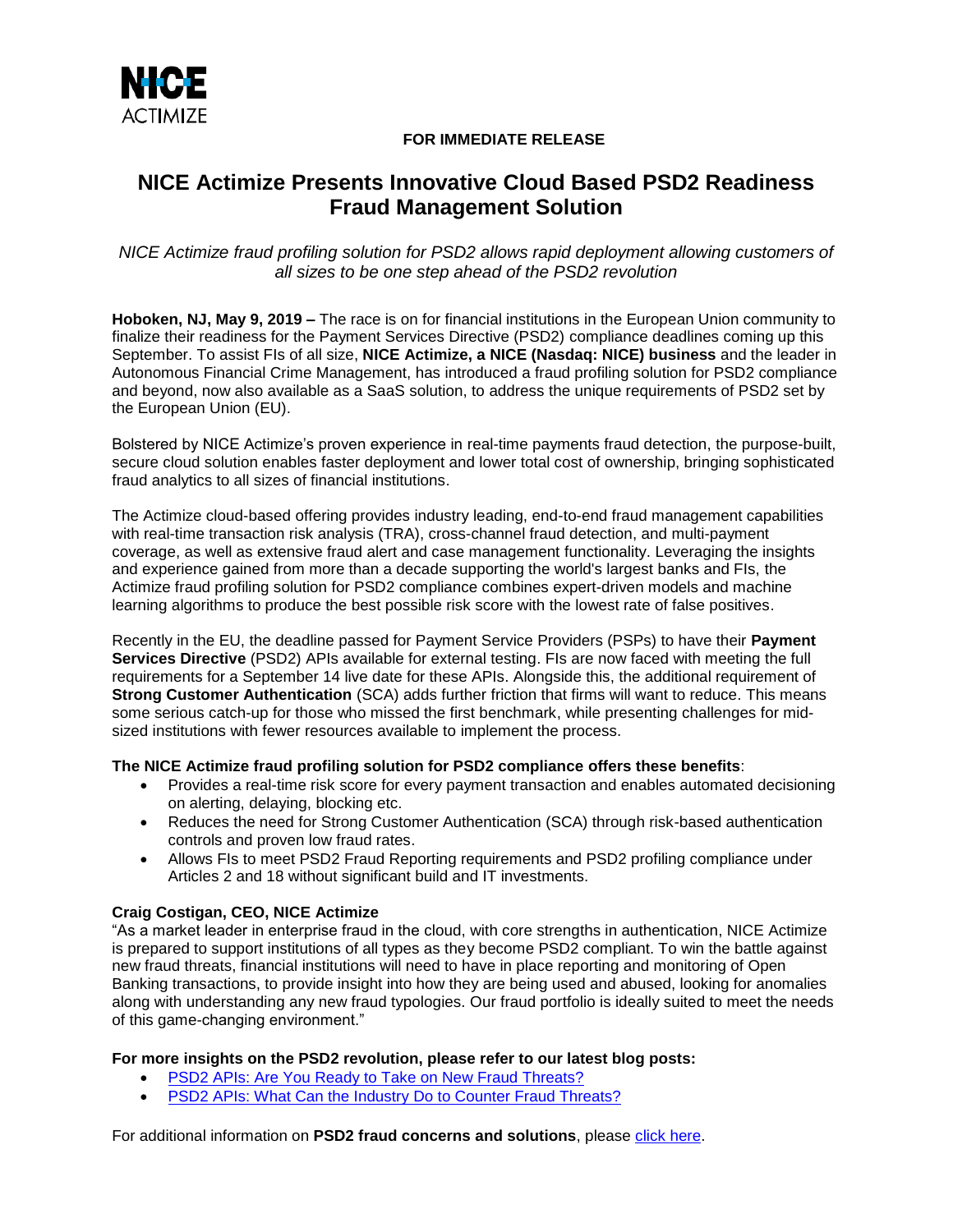

## **FOR IMMEDIATE RELEASE**

# **NICE Actimize Presents Innovative Cloud Based PSD2 Readiness Fraud Management Solution**

*NICE Actimize fraud profiling solution for PSD2 allows rapid deployment allowing customers of all sizes to be one step ahead of the PSD2 revolution* 

**Hoboken, NJ, May 9, 2019 –** The race is on for financial institutions in the European Union community to finalize their readiness for the Payment Services Directive (PSD2) compliance deadlines coming up this September. To assist FIs of all size, **NICE Actimize, a NICE (Nasdaq: NICE) business** and the leader in Autonomous Financial Crime Management, has introduced a fraud profiling solution for PSD2 compliance and beyond, now also available as a SaaS solution, to address the unique requirements of PSD2 set by the European Union (EU).

Bolstered by NICE Actimize's proven experience in real-time payments fraud detection, the purpose-built, secure cloud solution enables faster deployment and lower total cost of ownership, bringing sophisticated fraud analytics to all sizes of financial institutions.

The Actimize cloud-based offering provides industry leading, end-to-end fraud management capabilities with real-time transaction risk analysis (TRA), cross-channel fraud detection, and multi-payment coverage, as well as extensive fraud alert and case management functionality. Leveraging the insights and experience gained from more than a decade supporting the world's largest banks and FIs, the Actimize fraud profiling solution for PSD2 compliance combines expert-driven models and machine learning algorithms to produce the best possible risk score with the lowest rate of false positives.

Recently in the EU, the deadline passed for Payment Service Providers (PSPs) to have their **Payment Services Directive** (PSD2) APIs available for external testing. FIs are now faced with meeting the full requirements for a September 14 live date for these APIs. Alongside this, the additional requirement of **Strong Customer Authentication** (SCA) adds further friction that firms will want to reduce. This means some serious catch-up for those who missed the first benchmark, while presenting challenges for midsized institutions with fewer resources available to implement the process.

## **The NICE Actimize fraud profiling solution for PSD2 compliance offers these benefits**:

- Provides a real-time risk score for every payment transaction and enables automated decisioning on alerting, delaying, blocking etc.
- Reduces the need for Strong Customer Authentication (SCA) through risk-based authentication controls and proven low fraud rates.
- Allows FIs to meet PSD2 Fraud Reporting requirements and PSD2 profiling compliance under Articles 2 and 18 without significant build and IT investments.

## **Craig Costigan, CEO, NICE Actimize**

"As a market leader in enterprise fraud in the cloud, with core strengths in authentication, NICE Actimize is prepared to support institutions of all types as they become PSD2 compliant. To win the battle against new fraud threats, financial institutions will need to have in place reporting and monitoring of Open Banking transactions, to provide insight into how they are being used and abused, looking for anomalies along with understanding any new fraud typologies. Our fraud portfolio is ideally suited to meet the needs of this game-changing environment."

#### **For more insights on the PSD2 revolution, please refer to our latest blog posts:**

- **[PSD2 APIs: Are You Ready to Take on New Fraud Threats?](https://www.niceactimize.com/blog/psd2-apis-are-you-ready-to-take-on-new-fraud-threats-601#utm_source=website&utm_medium=PR&utm_campaign=PSD2%20fraud)**
- [PSD2 APIs: What Can the Industry Do to Counter Fraud Threats?](https://www.niceactimize.com/blog/psd2-apis-what-can-the-industry-do-to-counter-fraud-threats-602#utm_source=website&utm_medium=PR&utm_campaign=PSD2%20fraud)

For additional information on **PSD2 fraud concerns and solutions**, please [click here.](http://info.nice.com/Fraud-2016-PSD2-Microsite_20-TYP.html)